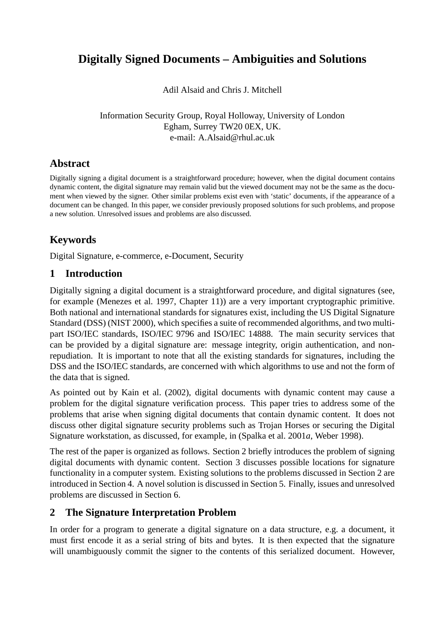# **Digitally Signed Documents – Ambiguities and Solutions**

Adil Alsaid and Chris J. Mitchell

Information Security Group, Royal Holloway, University of London Egham, Surrey TW20 0EX, UK. e-mail: A Alsaid@rhul.ac.uk

# **Abstract**

Digitally signing a digital document is a straightforward procedure; however, when the digital document contains dynamic content, the digital signature may remain valid but the viewed document may not be the same as the document when viewed by the signer. Other similar problems exist even with 'static' documents, if the appearance of a document can be changed. In this paper, we consider previously proposed solutions for such problems, and propose a new solution. Unresolved issues and problems are also discussed.

# **Keywords**

Digital Signature, e-commerce, e-Document, Security

# **1 Introduction**

Digitally signing a digital document is a straightforward procedure, and digital signatures (see, for example (Menezes et al. 1997, Chapter 11)) are a very important cryptographic primitive. Both national and international standards for signatures exist, including the US Digital Signature Standard (DSS) (NIST 2000), which specifies a suite of recommended algorithms, and two multipart ISO/IEC standards, ISO/IEC 9796 and ISO/IEC 14888. The main security services that can be provided by a digital signature are: message integrity, origin authentication, and nonrepudiation. It is important to note that all the existing standards for signatures, including the DSS and the ISO/IEC standards, are concerned with which algorithms to use and not the form of the data that is signed.

As pointed out by Kain et al. (2002), digital documents with dynamic content may cause a problem for the digital signature verification process. This paper tries to address some of the problems that arise when signing digital documents that contain dynamic content. It does not discuss other digital signature security problems such as Trojan Horses or securing the Digital Signature workstation, as discussed, for example, in (Spalka et al. 2001*a*, Weber 1998).

The rest of the paper is organized as follows. Section 2 briefly introduces the problem of signing digital documents with dynamic content. Section 3 discusses possible locations for signature functionality in a computer system. Existing solutions to the problems discussed in Section 2 are introduced in Section 4. A novel solution is discussed in Section 5. Finally, issues and unresolved problems are discussed in Section 6.

# **2 The Signature Interpretation Problem**

In order for a program to generate a digital signature on a data structure, e.g. a document, it must first encode it as a serial string of bits and bytes. It is then expected that the signature will unambiguously commit the signer to the contents of this serialized document. However,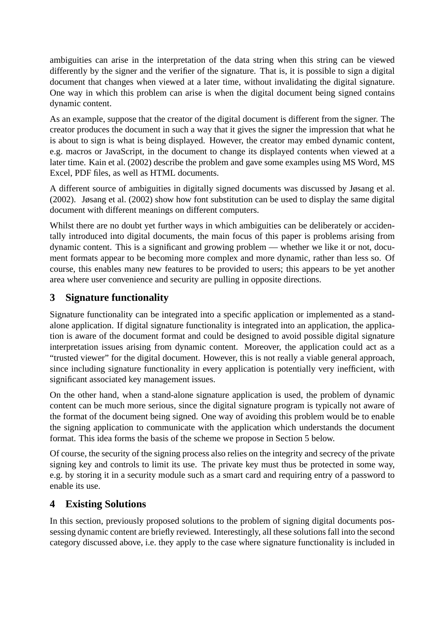ambiguities can arise in the interpretation of the data string when this string can be viewed differently by the signer and the verifier of the signature. That is, it is possible to sign a digital document that changes when viewed at a later time, without invalidating the digital signature. One way in which this problem can arise is when the digital document being signed contains dynamic content.

As an example, suppose that the creator of the digital document is different from the signer. The creator produces the document in such a way that it gives the signer the impression that what he is about to sign is what is being displayed. However, the creator may embed dynamic content, e.g. macros or JavaScript, in the document to change its displayed contents when viewed at a later time. Kain et al. (2002) describe the problem and gave some examples using MS Word, MS Excel, PDF files, as well as HTML documents.

A different source of ambiguities in digitally signed documents was discussed by Jøsang et al. (2002). Jøsang et al. (2002) show how font substitution can be used to display the same digital document with different meanings on different computers.

Whilst there are no doubt yet further ways in which ambiguities can be deliberately or accidentally introduced into digital documents, the main focus of this paper is problems arising from dynamic content. This is a significant and growing problem — whether we like it or not, document formats appear to be becoming more complex and more dynamic, rather than less so. Of course, this enables many new features to be provided to users; this appears to be yet another area where user convenience and security are pulling in opposite directions.

# **3 Signature functionality**

Signature functionality can be integrated into a specific application or implemented as a standalone application. If digital signature functionality is integrated into an application, the application is aware of the document format and could be designed to avoid possible digital signature interpretation issues arising from dynamic content. Moreover, the application could act as a "trusted viewer" for the digital document. However, this is not really a viable general approach, since including signature functionality in every application is potentially very inefficient, with significant associated key management issues.

On the other hand, when a stand-alone signature application is used, the problem of dynamic content can be much more serious, since the digital signature program is typically not aware of the format of the document being signed. One way of avoiding this problem would be to enable the signing application to communicate with the application which understands the document format. This idea forms the basis of the scheme we propose in Section 5 below.

Of course, the security of the signing process also relies on the integrity and secrecy of the private signing key and controls to limit its use. The private key must thus be protected in some way, e.g. by storing it in a security module such as a smart card and requiring entry of a password to enable its use.

## **4 Existing Solutions**

In this section, previously proposed solutions to the problem of signing digital documents possessing dynamic content are briefly reviewed. Interestingly, all these solutions fall into the second category discussed above, i.e. they apply to the case where signature functionality is included in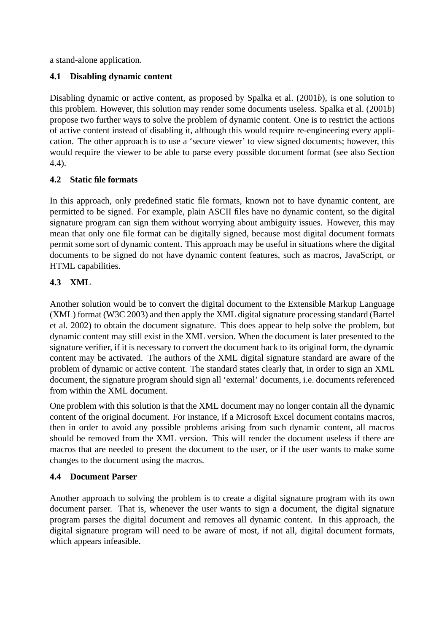a stand-alone application.

#### **4.1 Disabling dynamic content**

Disabling dynamic or active content, as proposed by Spalka et al. (2001*b*), is one solution to this problem. However, this solution may render some documents useless. Spalka et al. (2001*b*) propose two further ways to solve the problem of dynamic content. One is to restrict the actions of active content instead of disabling it, although this would require re-engineering every application. The other approach is to use a 'secure viewer' to view signed documents; however, this would require the viewer to be able to parse every possible document format (see also Section 4.4).

#### **4.2 Static file formats**

In this approach, only predefined static file formats, known not to have dynamic content, are permitted to be signed. For example, plain ASCII files have no dynamic content, so the digital signature program can sign them without worrying about ambiguity issues. However, this may mean that only one file format can be digitally signed, because most digital document formats permit some sort of dynamic content. This approach may be useful in situations where the digital documents to be signed do not have dynamic content features, such as macros, JavaScript, or HTML capabilities.

#### **4.3 XML**

Another solution would be to convert the digital document to the Extensible Markup Language (XML) format (W3C 2003) and then apply the XML digital signature processing standard (Bartel et al. 2002) to obtain the document signature. This does appear to help solve the problem, but dynamic content may still exist in the XML version. When the document is later presented to the signature verifier, if it is necessary to convert the document back to its original form, the dynamic content may be activated. The authors of the XML digital signature standard are aware of the problem of dynamic or active content. The standard states clearly that, in order to sign an XML document, the signature program should sign all 'external' documents, i.e. documents referenced from within the XML document.

One problem with this solution is that the XML document may no longer contain all the dynamic content of the original document. For instance, if a Microsoft Excel document contains macros, then in order to avoid any possible problems arising from such dynamic content, all macros should be removed from the XML version. This will render the document useless if there are macros that are needed to present the document to the user, or if the user wants to make some changes to the document using the macros.

#### **4.4 Document Parser**

Another approach to solving the problem is to create a digital signature program with its own document parser. That is, whenever the user wants to sign a document, the digital signature program parses the digital document and removes all dynamic content. In this approach, the digital signature program will need to be aware of most, if not all, digital document formats, which appears infeasible.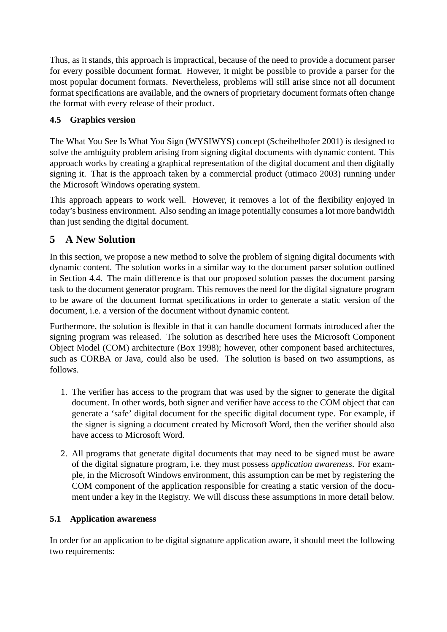Thus, as it stands, this approach is impractical, because of the need to provide a document parser for every possible document format. However, it might be possible to provide a parser for the most popular document formats. Nevertheless, problems will still arise since not all document format specifications are available, and the owners of proprietary document formats often change the format with every release of their product.

## **4.5 Graphics version**

The What You See Is What You Sign (WYSIWYS) concept (Scheibelhofer 2001) is designed to solve the ambiguity problem arising from signing digital documents with dynamic content. This approach works by creating a graphical representation of the digital document and then digitally signing it. That is the approach taken by a commercial product (utimaco 2003) running under the Microsoft Windows operating system.

This approach appears to work well. However, it removes a lot of the flexibility enjoyed in today's business environment. Also sending an image potentially consumes a lot more bandwidth than just sending the digital document.

# **5 A New Solution**

In this section, we propose a new method to solve the problem of signing digital documents with dynamic content. The solution works in a similar way to the document parser solution outlined in Section 4.4. The main difference is that our proposed solution passes the document parsing task to the document generator program. This removes the need for the digital signature program to be aware of the document format specifications in order to generate a static version of the document, i.e. a version of the document without dynamic content.

Furthermore, the solution is flexible in that it can handle document formats introduced after the signing program was released. The solution as described here uses the Microsoft Component Object Model (COM) architecture (Box 1998); however, other component based architectures, such as CORBA or Java, could also be used. The solution is based on two assumptions, as follows.

- 1. The verifier has access to the program that was used by the signer to generate the digital document. In other words, both signer and verifier have access to the COM object that can generate a 'safe' digital document for the specific digital document type. For example, if the signer is signing a document created by Microsoft Word, then the verifier should also have access to Microsoft Word.
- 2. All programs that generate digital documents that may need to be signed must be aware of the digital signature program, i.e. they must possess *application awareness*. For example, in the Microsoft Windows environment, this assumption can be met by registering the COM component of the application responsible for creating a static version of the document under a key in the Registry. We will discuss these assumptions in more detail below.

## **5.1 Application awareness**

In order for an application to be digital signature application aware, it should meet the following two requirements: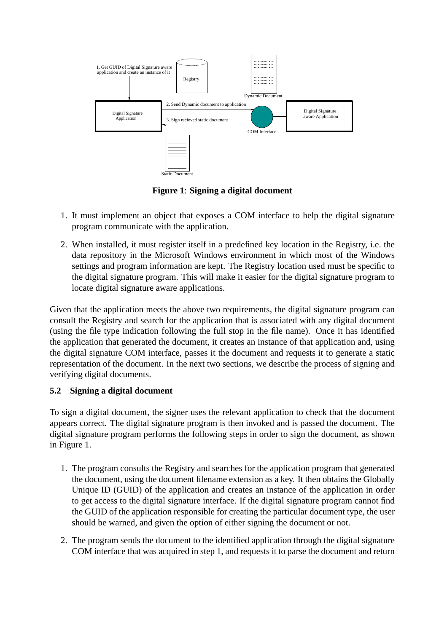

**Figure 1**: **Signing a digital document**

- 1. It must implement an object that exposes a COM interface to help the digital signature program communicate with the application.
- 2. When installed, it must register itself in a predefined key location in the Registry, i.e. the data repository in the Microsoft Windows environment in which most of the Windows settings and program information are kept. The Registry location used must be specific to the digital signature program. This will make it easier for the digital signature program to locate digital signature aware applications.

Given that the application meets the above two requirements, the digital signature program can consult the Registry and search for the application that is associated with any digital document (using the file type indication following the full stop in the file name). Once it has identified the application that generated the document, it creates an instance of that application and, using the digital signature COM interface, passes it the document and requests it to generate a static representation of the document. In the next two sections, we describe the process of signing and verifying digital documents.

## **5.2 Signing a digital document**

To sign a digital document, the signer uses the relevant application to check that the document appears correct. The digital signature program is then invoked and is passed the document. The digital signature program performs the following steps in order to sign the document, as shown in Figure 1.

- 1. The program consults the Registry and searches for the application program that generated the document, using the document filename extension as a key. It then obtains the Globally Unique ID (GUID) of the application and creates an instance of the application in order to get access to the digital signature interface. If the digital signature program cannot find the GUID of the application responsible for creating the particular document type, the user should be warned, and given the option of either signing the document or not.
- 2. The program sends the document to the identified application through the digital signature COM interface that was acquired in step 1, and requests it to parse the document and return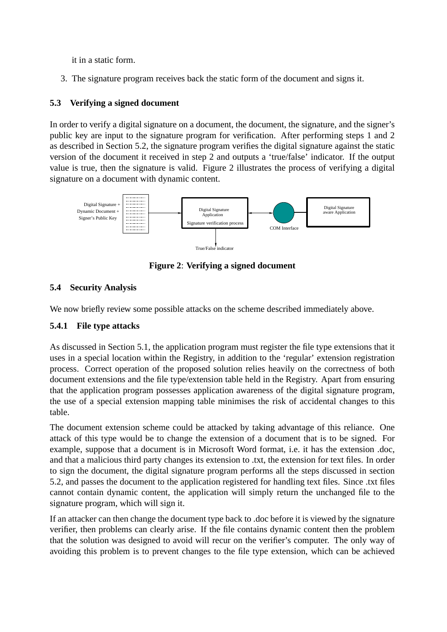it in a static form.

3. The signature program receives back the static form of the document and signs it.

## **5.3 Verifying a signed document**

In order to verify a digital signature on a document, the document, the signature, and the signer's public key are input to the signature program for verification. After performing steps 1 and 2 as described in Section 5.2, the signature program verifies the digital signature against the static version of the document it received in step 2 and outputs a 'true/false' indicator. If the output value is true, then the signature is valid. Figure 2 illustrates the process of verifying a digital signature on a document with dynamic content.



**Figure 2**: **Verifying a signed document**

## **5.4 Security Analysis**

We now briefly review some possible attacks on the scheme described immediately above.

## **5.4.1 File type attacks**

As discussed in Section 5.1, the application program must register the file type extensions that it uses in a special location within the Registry, in addition to the 'regular' extension registration process. Correct operation of the proposed solution relies heavily on the correctness of both document extensions and the file type/extension table held in the Registry. Apart from ensuring that the application program possesses application awareness of the digital signature program, the use of a special extension mapping table minimises the risk of accidental changes to this table.

The document extension scheme could be attacked by taking advantage of this reliance. One attack of this type would be to change the extension of a document that is to be signed. For example, suppose that a document is in Microsoft Word format, i.e. it has the extension .doc, and that a malicious third party changes its extension to .txt, the extension for text files. In order to sign the document, the digital signature program performs all the steps discussed in section 5.2, and passes the document to the application registered for handling text files. Since .txt files cannot contain dynamic content, the application will simply return the unchanged file to the signature program, which will sign it.

If an attacker can then change the document type back to .doc before it is viewed by the signature verifier, then problems can clearly arise. If the file contains dynamic content then the problem that the solution was designed to avoid will recur on the verifier's computer. The only way of avoiding this problem is to prevent changes to the file type extension, which can be achieved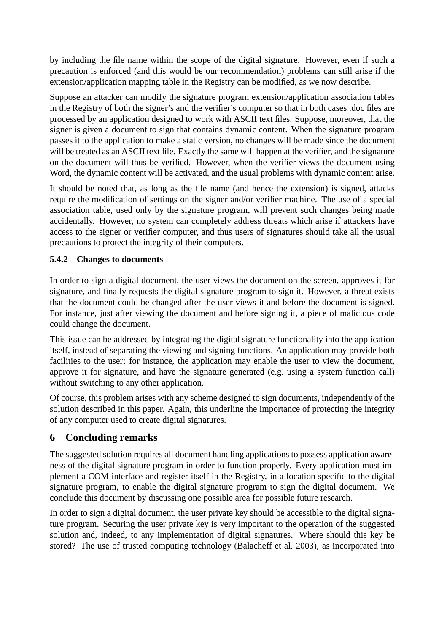by including the file name within the scope of the digital signature. However, even if such a precaution is enforced (and this would be our recommendation) problems can still arise if the extension/application mapping table in the Registry can be modified, as we now describe.

Suppose an attacker can modify the signature program extension/application association tables in the Registry of both the signer's and the verifier's computer so that in both cases .doc files are processed by an application designed to work with ASCII text files. Suppose, moreover, that the signer is given a document to sign that contains dynamic content. When the signature program passes it to the application to make a static version, no changes will be made since the document will be treated as an ASCII text file. Exactly the same will happen at the verifier, and the signature on the document will thus be verified. However, when the verifier views the document using Word, the dynamic content will be activated, and the usual problems with dynamic content arise.

It should be noted that, as long as the file name (and hence the extension) is signed, attacks require the modification of settings on the signer and/or verifier machine. The use of a special association table, used only by the signature program, will prevent such changes being made accidentally. However, no system can completely address threats which arise if attackers have access to the signer or verifier computer, and thus users of signatures should take all the usual precautions to protect the integrity of their computers.

#### **5.4.2 Changes to documents**

In order to sign a digital document, the user views the document on the screen, approves it for signature, and finally requests the digital signature program to sign it. However, a threat exists that the document could be changed after the user views it and before the document is signed. For instance, just after viewing the document and before signing it, a piece of malicious code could change the document.

This issue can be addressed by integrating the digital signature functionality into the application itself, instead of separating the viewing and signing functions. An application may provide both facilities to the user; for instance, the application may enable the user to view the document, approve it for signature, and have the signature generated (e.g. using a system function call) without switching to any other application.

Of course, this problem arises with any scheme designed to sign documents, independently of the solution described in this paper. Again, this underline the importance of protecting the integrity of any computer used to create digital signatures.

# **6 Concluding remarks**

The suggested solution requires all document handling applications to possess application awareness of the digital signature program in order to function properly. Every application must implement a COM interface and register itself in the Registry, in a location specific to the digital signature program, to enable the digital signature program to sign the digital document. We conclude this document by discussing one possible area for possible future research.

In order to sign a digital document, the user private key should be accessible to the digital signature program. Securing the user private key is very important to the operation of the suggested solution and, indeed, to any implementation of digital signatures. Where should this key be stored? The use of trusted computing technology (Balacheff et al. 2003), as incorporated into